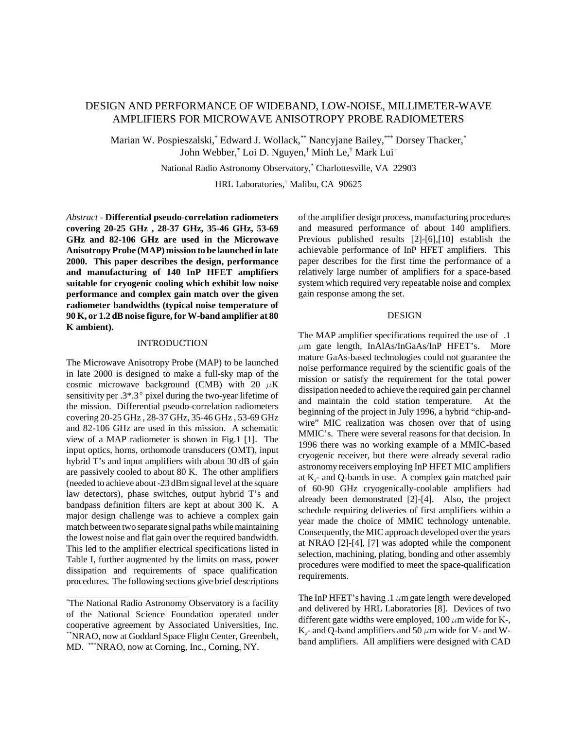# DESIGN AND PERFORMANCE OF WIDEBAND, LOW-NOISE, MILLIMETER-WAVE AMPLIFIERS FOR MICROWAVE ANISOTROPY PROBE RADIOMETERS

Marian W. Pospieszalski,\* Edward J. Wollack,\*\* Nancyjane Bailey,\*\*\* Dorsey Thacker,\* John Webber,\* Loi D. Nguyen,† Minh Le,† Mark Lui†

National Radio Astronomy Observatory,\* Charlottesville, VA 22903

HRL Laboratories,† Malibu, CA 90625

*Abstract* - **Differential pseudo-correlation radiometers covering 20-25 GHz , 28-37 GHz, 35-46 GHz, 53-69 GHz and 82-106 GHz are used in the Microwave Anisotropy Probe (MAP) mission to be launched in late 2000. This paper describes the design, performance and manufacturing of 140 InP HFET amplifiers suitable for cryogenic cooling which exhibit low noise performance and complex gain match over the given radiometer bandwidths (typical noise temperature of 90 K, or 1.2 dB noise figure, for W-band amplifier at 80 K ambient).**

### INTRODUCTION

The Microwave Anisotropy Probe (MAP) to be launched in late 2000 is designed to make a full-sky map of the cosmic microwave background (CMB) with 20  $\mu$ K sensitivity per  $.3^* .3$ ° pixel during the two-year lifetime of the mission. Differential pseudo-correlation radiometers covering 20-25 GHz , 28-37 GHz, 35-46 GHz , 53-69 GHz and 82-106 GHz are used in this mission. A schematic view of a MAP radiometer is shown in Fig.1 [1]. The input optics, horns, orthomode transducers (OMT), input hybrid T's and input amplifiers with about 30 dB of gain are passively cooled to about 80 K. The other amplifiers (needed to achieve about -23 dBm signal level at the square law detectors), phase switches, output hybrid T's and bandpass definition filters are kept at about 300 K. A major design challenge was to achieve a complex gain match between two separate signal paths while maintaining the lowest noise and flat gain over the required bandwidth. This led to the amplifier electrical specifications listed in Table I, further augmented by the limits on mass, power dissipation and requirements of space qualification procedures. The following sections give brief descriptions

l

of the amplifier design process, manufacturing procedures and measured performance of about 140 amplifiers. Previous published results [2]-[6],[10] establish the achievable performance of InP HFET amplifiers. This paper describes for the first time the performance of a relatively large number of amplifiers for a space-based system which required very repeatable noise and complex gain response among the set.

#### DESIGN

The MAP amplifier specifications required the use of .1  $\mu$ m gate length, InAlAs/InGaAs/InP HFET's. More mature GaAs-based technologies could not guarantee the noise performance required by the scientific goals of the mission or satisfy the requirement for the total power dissipation needed to achieve the required gain per channel and maintain the cold station temperature. At the beginning of the project in July 1996, a hybrid "chip-andwire" MIC realization was chosen over that of using MMIC's. There were several reasons for that decision. In 1996 there was no working example of a MMIC-based cryogenic receiver, but there were already several radio astronomy receivers employing InP HFET MIC amplifiers at  $K<sub>a</sub>$ - and Q-bands in use. A complex gain matched pair of 60-90 GHz cryogenically-coolable amplifiers had already been demonstrated [2]-[4]. Also, the project schedule requiring deliveries of first amplifiers within a year made the choice of MMIC technology untenable. Consequently, the MIC approach developed over the years at NRAO [2]-[4], [7] was adopted while the component selection, machining, plating, bonding and other assembly procedures were modified to meet the space-qualification requirements.

The InP HFET's having .1  $\mu$ m gate length were developed and delivered by HRL Laboratories [8]. Devices of two different gate widths were employed,  $100 \mu m$  wide for K-, K<sub>a</sub>- and Q-band amplifiers and 50  $\mu$ m wide for V- and Wband amplifiers. All amplifiers were designed with CAD

<sup>\*</sup> The National Radio Astronomy Observatory is a facility of the National Science Foundation operated under cooperative agreement by Associated Universities, Inc. \*\*NRAO, now at Goddard Space Flight Center, Greenbelt, MD. \*\*\*NRAO, now at Corning, Inc., Corning, NY.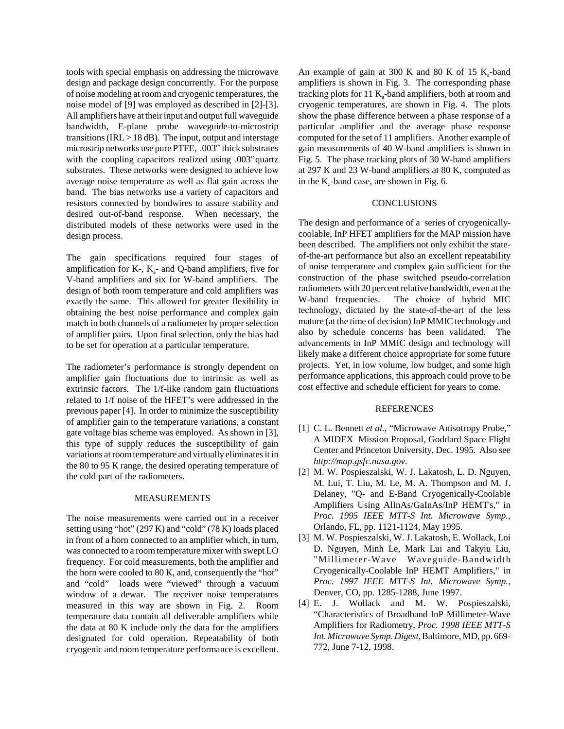tools with special emphasis on addressing the microwave design and package design concurrently. For the purpose of noise modeling at room and cryogenic temperatures, the noise model of [9] was employed as described in [2]-[3]. All amplifiers have at their input and output full waveguide bandwidth, E-plane probe waveguide-to-microstrip transitions (IRL  $>$  18 dB). The input, output and interstage microstrip networks use pure PTFE, .003'' thick substrates with the coupling capacitors realized using .003" quartz substrates. These networks were designed to achieve low average noise temperature as well as flat gain across the band. The bias networks use a variety of capacitors and resistors connected by bondwires to assure stability and desired out-of-band response. When necessary, the distributed models of these networks were used in the design process.

The gain specifications required four stages of amplification for  $K<sub>-</sub>$ ,  $K<sub>a</sub>$ - and Q-band amplifiers, five for V-band amplifiers and six for W-band amplifiers. The design of both room temperature and cold amplifiers was exactly the same. This allowed for greater flexibility in obtaining the best noise performance and complex gain match in both channels of a radiometer by proper selection of amplifier pairs. Upon final selection, only the bias had to be set for operation at a particular temperature.

The radiometer's performance is strongly dependent on amplifier gain fluctuations due to intrinsic as well as extrinsic factors. The 1/f-like random gain fluctuations related to 1/f noise of the HFET's were addressed in the previous paper [4]. In order to minimize the susceptibility of amplifier gain to the temperature variations, a constant gate voltage bias scheme was employed. As shown in [3], this type of supply reduces the susceptibility of gain variations at room temperature and virtually eliminates it in the 80 to 95 K range, the desired operating temperature of the cold part of the radiometers.

#### MEASUREMENTS

The noise measurements were carried out in a receiver setting using "hot" (297 K) and "cold" (78 K) loads placed in front of a horn connected to an amplifier which, in turn, was connected to a room temperature mixer with swept LO frequency. For cold measurements, both the amplifier and the horn were cooled to 80 K, and, consequently the "hot" and "cold" loads were "viewed" through a vacuum window of a dewar. The receiver noise temperatures measured in this way are shown in Fig. 2. Room temperature data contain all deliverable amplifiers while the data at 80 K include only the data for the amplifiers designated for cold operation. Repeatability of both cryogenic and room temperature performance is excellent. An example of gain at 300 K and 80 K of 15  $K_a$ -band amplifiers is shown in Fig. 3. The corresponding phase tracking plots for 11  $K_a$ -band amplifiers, both at room and cryogenic temperatures, are shown in Fig. 4. The plots show the phase difference between a phase response of a particular amplifier and the average phase response computed for the set of 11 amplifiers. Another example of gain measurements of 40 W-band amplifiers is shown in Fig. 5. The phase tracking plots of 30 W-band amplifiers at 297 K and 23 W-band amplifiers at 80 K, computed as in the  $K_a$ -band case, are shown in Fig. 6.

## CONCLUSIONS

The design and performance of a series of cryogenicallycoolable, InP HFET amplifiers for the MAP mission have been described. The amplifiers not only exhibit the stateof-the-art performance but also an excellent repeatability of noise temperature and complex gain sufficient for the construction of the phase switched pseudo-correlation radiometers with 20 percent relative bandwidth, even at the W-band frequencies. The choice of hybrid MIC technology, dictated by the state-of-the-art of the less mature (at the time of decision) InP MMIC technology and also by schedule concerns has been validated. The advancements in InP MMIC design and technology will likely make a different choice appropriate for some future projects. Yet, in low volume, low budget, and some high performance applications, this approach could prove to be cost effective and schedule efficient for years to come.

#### **REFERENCES**

- [1] C. L. Bennett *et al.*, "Microwave Anisotropy Probe," A MIDEX Mission Proposal, Goddard Space Flight Center and Princeton University, Dec. 1995. Also see *http://map.gsfc.nasa.gov*.
- [2] M. W. Pospieszalski, W. J. Lakatosh, L. D. Nguyen, M. Lui, T. Liu, M. Le, M. A. Thompson and M. J. Delaney, "Q- and E-Band Cryogenically-Coolable Amplifiers Using AlInAs/GaInAs/InP HEMT's," in *Proc. 1995 IEEE MTT-S Int. Microwave Symp.*, Orlando, FL, pp. 1121-1124, May 1995.
- [3] M. W. Pospieszalski, W. J. Lakatosh, E. Wollack, Loi D. Nguyen, Minh Le, Mark Lui and Takyiu Liu, "Millimeter-Wave Waveguide-Bandwidth Cryogenically-Coolable InP HEMT Amplifiers," in *Proc. 1997 IEEE MTT-S Int. Microwave Symp.*, Denver, CO, pp. 1285-1288, June 1997.
- [4] E. J. Wollack and M. W. Pospieszalski, "Characteristics of Broadband InP Millimeter-Wave Amplifiers for Radiometry, *Proc. 1998 IEEE MTT-S Int. Microwave Symp. Digest*, Baltimore, MD, pp. 669- 772, June 7-12, 1998.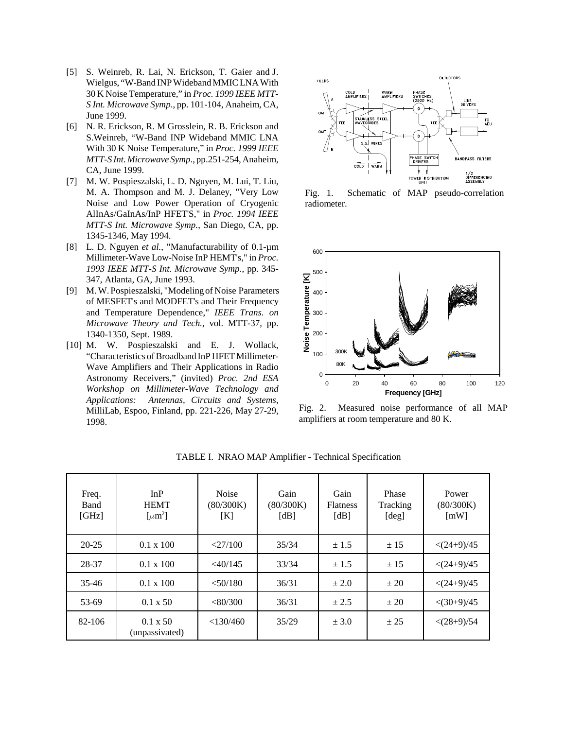- [5] S. Weinreb, R. Lai, N. Erickson, T. Gaier and J. Wielgus, "W-Band INP Wideband MMIC LNA With 30 K Noise Temperature," in *Proc. 1999 IEEE MTT-S Int. Microwave Symp*., pp. 101-104, Anaheim, CA, June 1999.
- [6] N. R. Erickson, R. M Grosslein, R. B. Erickson and S.Weinreb, "W-Band INP Wideband MMIC LNA With 30 K Noise Temperature," in *Proc. 1999 IEEE MTT-S Int. Microwave Symp*., pp.251-254, Anaheim, CA, June 1999.
- [7] M. W. Pospieszalski, L. D. Nguyen, M. Lui, T. Liu, M. A. Thompson and M. J. Delaney, "Very Low Noise and Low Power Operation of Cryogenic AlInAs/GaInAs/InP HFET'S," in *Proc. 1994 IEEE MTT-S Int. Microwave Symp.*, San Diego, CA, pp. 1345-1346, May 1994.
- [8] L. D. Nguyen *et al.*, "Manufacturability of 0.1-µm Millimeter-Wave Low-Noise InP HEMT's," in *Proc. 1993 IEEE MTT-S Int. Microwave Symp.*, pp. 345- 347, Atlanta, GA, June 1993.
- [9] M. W. Pospieszalski, "Modeling of Noise Parameters of MESFET's and MODFET's and Their Frequency and Temperature Dependence," *IEEE Trans. on Microwave Theory and Tech.*, vol. MTT-37, pp. 1340-1350, Sept. 1989.
- [10] M. W. Pospieszalski and E. J. Wollack, "Characteristics of Broadband InP HFET Millimeter-Wave Amplifiers and Their Applications in Radio Astronomy Receivers," (invited) *Proc. 2nd ESA Workshop on Millimeter-Wave Technology and Applications: Antennas, Circuits and Systems*, MilliLab, Espoo, Finland, pp. 221-226, May 27-29, 1998.



Fig. 1. Schematic of MAP pseudo-correlation radiometer.



Fig. 2. Measured noise performance of all MAP amplifiers at room temperature and 80 K.

| Freq.<br>Band<br>[GHz] | InP<br><b>HEMT</b><br>$\lceil \mu m^2 \rceil$ | <b>Noise</b><br>(80/300K)<br>[K] | Gain<br>(80/300K)<br>[dB] | Gain<br><b>Flatness</b><br>[dB] | Phase<br>Tracking<br>[deg] | Power<br>(80/300K)<br>$\lceil mW \rceil$ |
|------------------------|-----------------------------------------------|----------------------------------|---------------------------|---------------------------------|----------------------------|------------------------------------------|
| $20 - 25$              | $0.1 \times 100$                              | $<$ 27/100                       | 35/34                     | ± 1.5                           | ± 15                       | $< (24+9)/45$                            |
| 28-37                  | $0.1 \times 100$                              | $<$ 40/145                       | 33/34                     | ± 1.5                           | ± 15                       | $< (24+9)/45$                            |
| $35 - 46$              | $0.1 \times 100$                              | $<$ 50/180                       | 36/31                     | $\pm 2.0$                       | ± 20                       | $< (24+9)/45$                            |
| 53-69                  | $0.1 \times 50$                               | <80/300                          | 36/31                     | ± 2.5                           | ± 20                       | $\langle (30+9)/45$                      |
| 82-106                 | $0.1 \times 50$<br>(unpassivated)             | < 130/460                        | 35/29                     | ± 3.0                           | ± 25                       | $< (28+9)/54$                            |

TABLE I. NRAO MAP Amplifier - Technical Specification